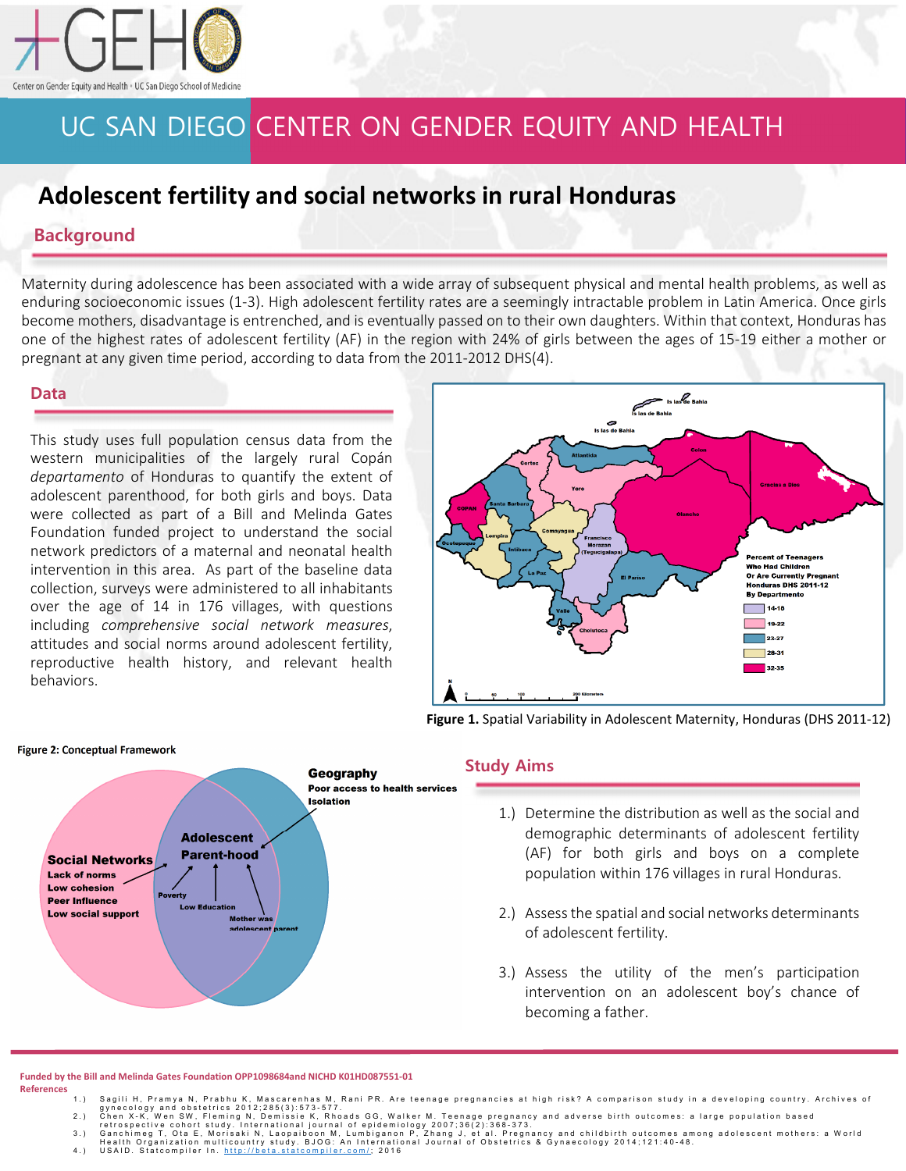

# UC SAN DIEGO CENTER ON GENDER EQUITY AND HEALTH

## **Adolescent fertility and social networks in rural Honduras**

### **Background**

Maternity during adolescence has been associated with a wide array of subsequent physical and mental health problems, as well as enduring socioeconomic issues (1-3). High adolescent fertility rates are a seemingly intractable problem in Latin America. Once girls become mothers, disadvantage is entrenched, and is eventually passed on to their own daughters. Within that context, Honduras has one of the highest rates of adolescent fertility (AF) in the region with 24% of girls between the ages of 15-19 either a mother or pregnant at any given time period, according to data from the 2011-2012 DHS(4).

#### **Data**

This study uses full population census data from the western municipalities of the largely rural Copán *departamento* of Honduras to quantify the extent of adolescent parenthood, for both girls and boys. Data were collected as part of a Bill and Melinda Gates Foundation funded project to understand the social network predictors of a maternal and neonatal health intervention in this area. As part of the baseline data collection, surveys were administered to all inhabitants over the age of 14 in 176 villages, with questions including *comprehensive social network measures*, attitudes and social norms around adolescent fertility, reproductive health history, and relevant health behaviors.



**Figure 1.** Spatial Variability in Adolescent Maternity, Honduras (DHS 2011-12)



#### **Study Aims**

- 1.) Determine the distribution as well as the social and demographic determinants of adolescent fertility (AF) for both girls and boys on a complete population within 176 villages in rural Honduras.
- 2.) Assess the spatial and social networks determinants of adolescent fertility.
- 3.) Assess the utility of the men's participation intervention on an adolescent boy's chance of becoming a father.

#### **Funded by the Bill and Melinda Gates Foundation OPP1098684and NICHD K01HD087551-01 References**

- 
- 
- 
- 1.) Sagili H, Pramya N, Prabhu K, Mascarenhas M, Rani PR. Are teenage pregnancies at high risk? A comparison study in a developing country. Archives of<br>2.) Chen X-K, Wen SW, Fleming N, Demissie K, Rhoads GG, Walker M. Teen

### **Figure 2: Conceptual Framework**